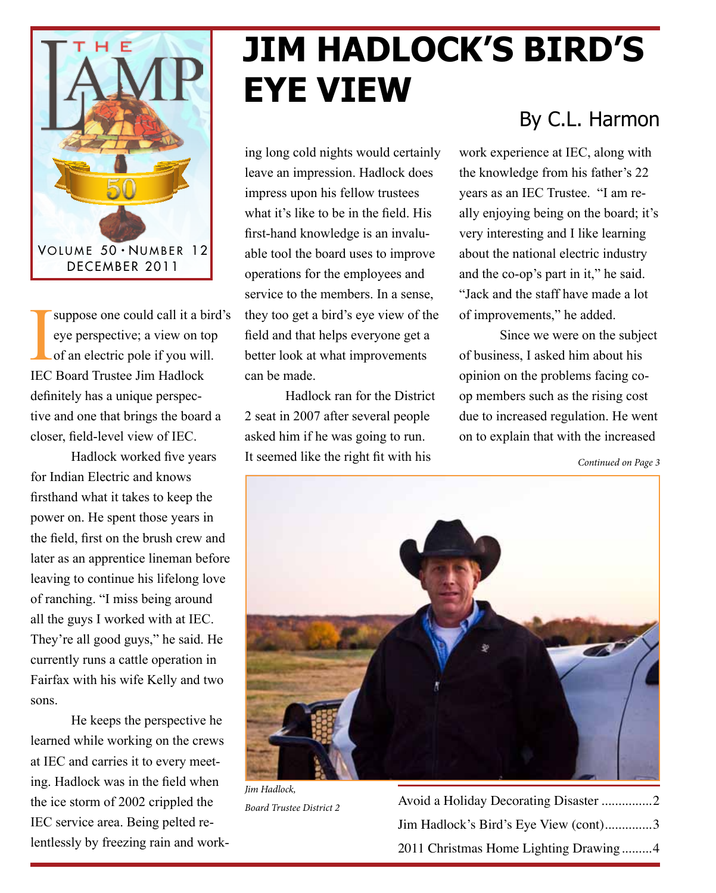

suppose one could call it a bird's eye perspective; a view on top of an electric pole if you will. IEC Board Trustee Jim Hadlock definitely has a unique perspective and one that brings the board a closer, field-level view of IEC.

Hadlock worked five years for Indian Electric and knows firsthand what it takes to keep the power on. He spent those years in the field, first on the brush crew and later as an apprentice lineman before leaving to continue his lifelong love of ranching. "I miss being around all the guys I worked with at IEC. They're all good guys," he said. He currently runs a cattle operation in Fairfax with his wife Kelly and two sons.

He keeps the perspective he learned while working on the crews at IEC and carries it to every meeting. Hadlock was in the field when the ice storm of 2002 crippled the IEC service area. Being pelted relentlessly by freezing rain and work-

# **Jim Hadlock's Bird's Eye View**

ing long cold nights would certainly leave an impression. Hadlock does impress upon his fellow trustees what it's like to be in the field. His first-hand knowledge is an invaluable tool the board uses to improve operations for the employees and service to the members. In a sense, they too get a bird's eye view of the field and that helps everyone get a better look at what improvements can be made.

Hadlock ran for the District 2 seat in 2007 after several people asked him if he was going to run. It seemed like the right fit with his

#### By C.L. Harmon

work experience at IEC, along with the knowledge from his father's 22 years as an IEC Trustee. "I am really enjoying being on the board; it's very interesting and I like learning about the national electric industry and the co-op's part in it," he said. "Jack and the staff have made a lot of improvements," he added.

Since we were on the subject of business, I asked him about his opinion on the problems facing coop members such as the rising cost due to increased regulation. He went on to explain that with the increased

*Continued on Page 3*



*Jim Hadlock, Board Trustee District 2*

Avoid a Holiday Decorating Disaster ...............2 Jim Hadlock's Bird's Eye View (cont)..............3 2011 Christmas Home Lighting Drawing.........4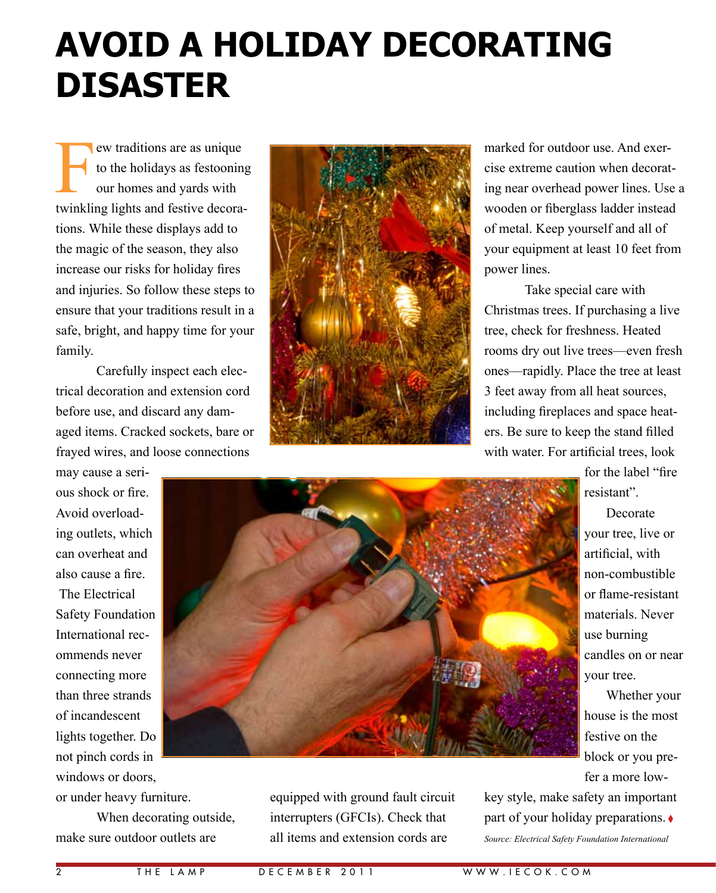## **Avoid a Holiday Decorating Disaster**

ew traditions are as unique to the holidays as festooning our homes and yards with twinkling lights and festive decorations. While these displays add to the magic of the season, they also increase our risks for holiday fires and injuries. So follow these steps to ensure that your traditions result in a safe, bright, and happy time for your family.

Carefully inspect each electrical decoration and extension cord before use, and discard any damaged items. Cracked sockets, bare or frayed wires, and loose connections



marked for outdoor use. And exercise extreme caution when decorating near overhead power lines. Use a wooden or fiberglass ladder instead of metal. Keep yourself and all of your equipment at least 10 feet from power lines.

Take special care with Christmas trees. If purchasing a live tree, check for freshness. Heated rooms dry out live trees—even fresh ones—rapidly. Place the tree at least 3 feet away from all heat sources, including fireplaces and space heaters. Be sure to keep the stand filled with water. For artificial trees, look

ous shock or fire. Avoid overloading outlets, which can overheat and also cause a fire. The Electrical Safety Foundation International recommends never connecting more than three strands of incandescent lights together. Do not pinch cords in windows or doors,

may cause a seri-

or under heavy furniture.

When decorating outside, make sure outdoor outlets are



equipped with ground fault circuit interrupters (GFCIs). Check that all items and extension cords are

for the label "fire resistant".

Decorate your tree, live or artificial, with non-combustible or flame-resistant materials. Never use burning candles on or near your tree.

Whether your house is the most festive on the block or you prefer a more low-

key style, make safety an important part of your holiday preparations. ♦ *Source: Electrical Safety Foundation International*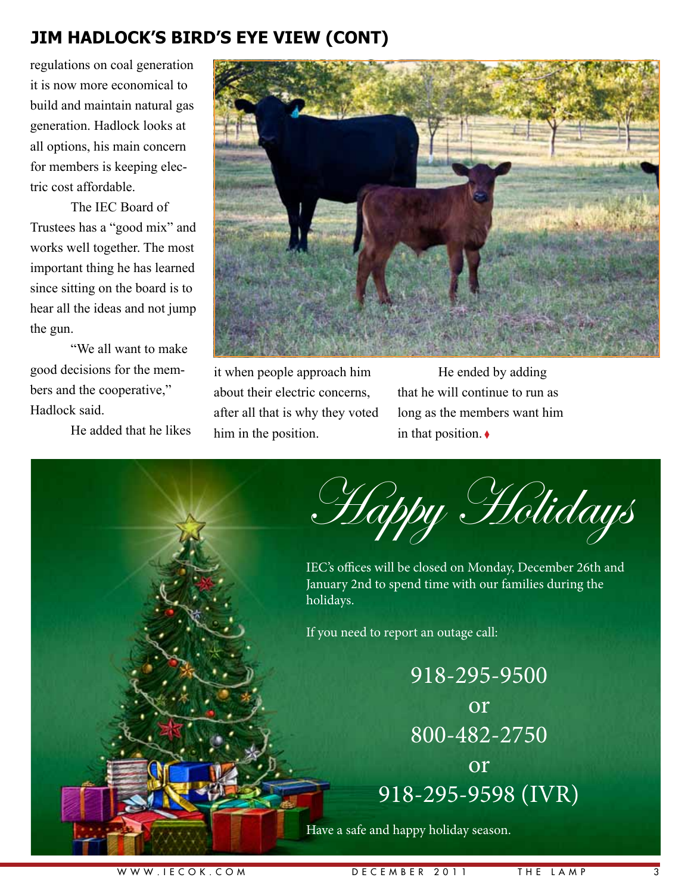#### **Jim Hadlock's Bird's Eye View (cont)**

regulations on coal generation it is now more economical to build and maintain natural gas generation. Hadlock looks at all options, his main concern for members is keeping electric cost affordable.

The IEC Board of Trustees has a "good mix" and works well together. The most important thing he has learned since sitting on the board is to hear all the ideas and not jump the gun.

"We all want to make good decisions for the members and the cooperative," Hadlock said.

He added that he likes



it when people approach him about their electric concerns, after all that is why they voted him in the position.

He ended by adding that he will continue to run as long as the members want him in that position. ◊